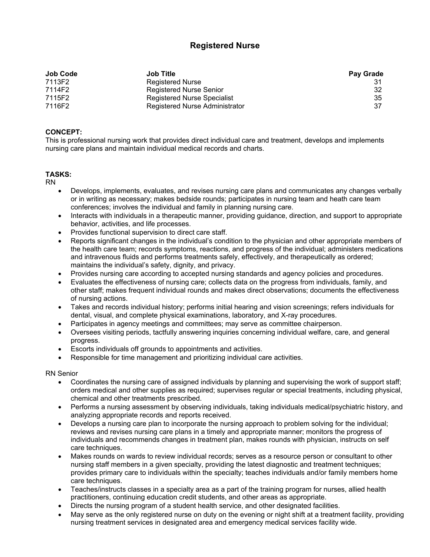# **Registered Nurse**

| <b>Job Code</b> | <b>Job Title</b>               | <b>Pay Grade</b> |
|-----------------|--------------------------------|------------------|
| 7113F2          | <b>Registered Nurse</b>        |                  |
| 7114F2          | Registered Nurse Senior        | 32               |
| 7115F2          | Registered Nurse Specialist    | 35               |
| 7116F2          | Registered Nurse Administrator | 37               |

# **CONCEPT:**

This is professional nursing work that provides direct individual care and treatment, develops and implements nursing care plans and maintain individual medical records and charts.

## **TASKS:**

RN

- Develops, implements, evaluates, and revises nursing care plans and communicates any changes verbally or in writing as necessary; makes bedside rounds; participates in nursing team and heath care team conferences; involves the individual and family in planning nursing care.
- Interacts with individuals in a therapeutic manner, providing guidance, direction, and support to appropriate behavior, activities, and life processes.
- Provides functional supervision to direct care staff.
- Reports significant changes in the individual's condition to the physician and other appropriate members of the health care team; records symptoms, reactions, and progress of the individual; administers medications and intravenous fluids and performs treatments safely, effectively, and therapeutically as ordered; maintains the individual's safety, dignity, and privacy.
- Provides nursing care according to accepted nursing standards and agency policies and procedures.
- Evaluates the effectiveness of nursing care; collects data on the progress from individuals, family, and other staff; makes frequent individual rounds and makes direct observations; documents the effectiveness of nursing actions.
- Takes and records individual history; performs initial hearing and vision screenings; refers individuals for dental, visual, and complete physical examinations, laboratory, and X-ray procedures.
- Participates in agency meetings and committees; may serve as committee chairperson.
- Oversees visiting periods, tactfully answering inquiries concerning individual welfare, care, and general progress.
- Escorts individuals off grounds to appointments and activities.
- Responsible for time management and prioritizing individual care activities.

## RN Senior

- Coordinates the nursing care of assigned individuals by planning and supervising the work of support staff; orders medical and other supplies as required; supervises regular or special treatments, including physical, chemical and other treatments prescribed.
- Performs a nursing assessment by observing individuals, taking individuals medical/psychiatric history, and analyzing appropriate records and reports received.
- Develops a nursing care plan to incorporate the nursing approach to problem solving for the individual; reviews and revises nursing care plans in a timely and appropriate manner; monitors the progress of individuals and recommends changes in treatment plan, makes rounds with physician, instructs on self care techniques.
- Makes rounds on wards to review individual records; serves as a resource person or consultant to other nursing staff members in a given specialty, providing the latest diagnostic and treatment techniques; provides primary care to individuals within the specialty; teaches individuals and/or family members home care techniques.
- Teaches/instructs classes in a specialty area as a part of the training program for nurses, allied health practitioners, continuing education credit students, and other areas as appropriate.
- Directs the nursing program of a student health service, and other designated facilities.
- May serve as the only registered nurse on duty on the evening or night shift at a treatment facility, providing nursing treatment services in designated area and emergency medical services facility wide.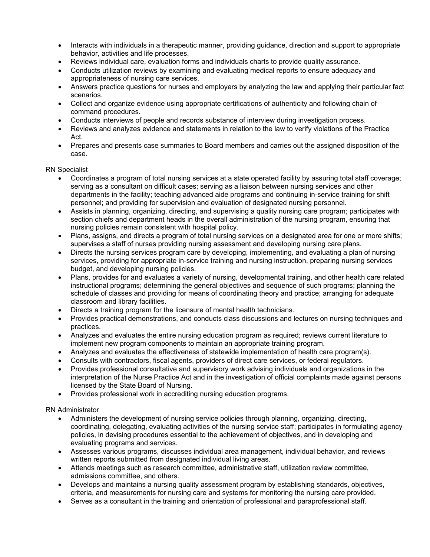- Interacts with individuals in a therapeutic manner, providing guidance, direction and support to appropriate behavior, activities and life processes.
- Reviews individual care, evaluation forms and individuals charts to provide quality assurance.
- Conducts utilization reviews by examining and evaluating medical reports to ensure adequacy and appropriateness of nursing care services.
- Answers practice questions for nurses and employers by analyzing the law and applying their particular fact scenarios.
- Collect and organize evidence using appropriate certifications of authenticity and following chain of command procedures.
- Conducts interviews of people and records substance of interview during investigation process.
- Reviews and analyzes evidence and statements in relation to the law to verify violations of the Practice Act.
- Prepares and presents case summaries to Board members and carries out the assigned disposition of the case.

RN Specialist

- Coordinates a program of total nursing services at a state operated facility by assuring total staff coverage; serving as a consultant on difficult cases; serving as a liaison between nursing services and other departments in the facility; teaching advanced aide programs and continuing in-service training for shift personnel; and providing for supervision and evaluation of designated nursing personnel.
- Assists in planning, organizing, directing, and supervising a quality nursing care program; participates with section chiefs and department heads in the overall administration of the nursing program, ensuring that nursing policies remain consistent with hospital policy.
- Plans, assigns, and directs a program of total nursing services on a designated area for one or more shifts; supervises a staff of nurses providing nursing assessment and developing nursing care plans.
- Directs the nursing services program care by developing, implementing, and evaluating a plan of nursing services, providing for appropriate in-service training and nursing instruction, preparing nursing services budget, and developing nursing policies.
- Plans, provides for and evaluates a variety of nursing, developmental training, and other health care related instructional programs; determining the general objectives and sequence of such programs; planning the schedule of classes and providing for means of coordinating theory and practice; arranging for adequate classroom and library facilities.
- Directs a training program for the licensure of mental health technicians.
- Provides practical demonstrations, and conducts class discussions and lectures on nursing techniques and practices.
- Analyzes and evaluates the entire nursing education program as required; reviews current literature to implement new program components to maintain an appropriate training program.
- Analyzes and evaluates the effectiveness of statewide implementation of health care program(s).
- Consults with contractors, fiscal agents, providers of direct care services, or federal regulators.
- Provides professional consultative and supervisory work advising individuals and organizations in the interpretation of the Nurse Practice Act and in the investigation of official complaints made against persons licensed by the State Board of Nursing.
- Provides professional work in accrediting nursing education programs.

RN Administrator

- Administers the development of nursing service policies through planning, organizing, directing, coordinating, delegating, evaluating activities of the nursing service staff; participates in formulating agency policies, in devising procedures essential to the achievement of objectives, and in developing and evaluating programs and services.
- Assesses various programs, discusses individual area management, individual behavior, and reviews written reports submitted from designated individual living areas.
- Attends meetings such as research committee, administrative staff, utilization review committee, admissions committee, and others.
- Develops and maintains a nursing quality assessment program by establishing standards, objectives, criteria, and measurements for nursing care and systems for monitoring the nursing care provided.
- Serves as a consultant in the training and orientation of professional and paraprofessional staff.